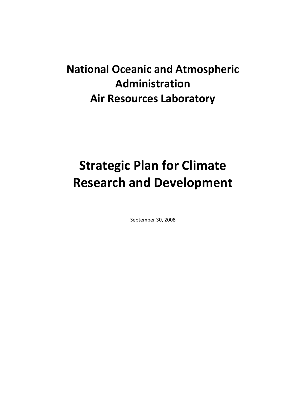# **National Oceanic and Atmospheric Administration Air Resources Laboratory**

# **Strategic Plan for Climate Research and Development**

September 30, 2008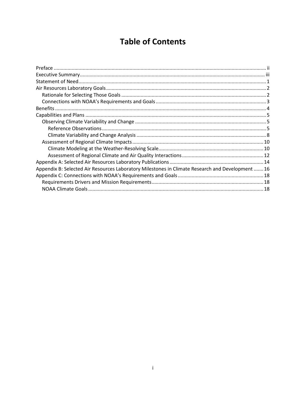# **Table of Contents**

| Appendix B: Selected Air Resources Laboratory Milestones in Climate Research and Development  16 |  |
|--------------------------------------------------------------------------------------------------|--|
|                                                                                                  |  |
|                                                                                                  |  |
|                                                                                                  |  |
|                                                                                                  |  |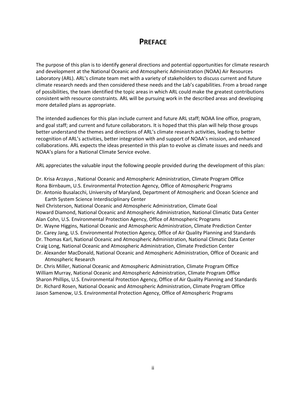### **PREFACE**

<span id="page-2-0"></span>The purpose of this plan is to identify general directions and potential opportunities for climate research and development at the National Oceanic and Atmospheric Administration (NOAA) Air Resources Laboratory (ARL). ARL's climate team met with a variety of stakeholders to discuss current and future climate research needs and then considered these needs and the Lab's capabilities. From a broad range of possibilities, the team identified the topic areas in which ARL could make the greatest contributions consistent with resource constraints. ARL will be pursuing work in the described areas and developing more detailed plans as appropriate.

The intended audiences for this plan include current and future ARL staff; NOAA line office, program, and goal staff; and current and future collaborators. It is hoped that this plan will help those groups better understand the themes and directions of ARL's climate research activities, leading to better recognition of ARL's activities, better integration with and support of NOAA's mission, and enhanced collaborations. ARL expects the ideas presented in this plan to evolve as climate issues and needs and NOAA's plans for a National Climate Service evolve.

ARL appreciates the valuable input the following people provided during the development of this plan:

Dr. Krisa Arzayus , National Oceanic and Atmospheric Administration, Climate Program Office Rona Birnbaum, U.S. Environmental Protection Agency, Office of Atmospheric Programs Dr. Antonio Busalacchi, University of Maryland, Department of Atmospheric and Ocean Science and

Earth System Science Interdisciplinary Center Neil Christerson, National Oceanic and Atmospheric Administration, Climate Goal Howard Diamond, National Oceanic and Atmospheric Administration, National Climatic Data Center Alan Cohn, U.S. Environmental Protection Agency, Office of Atmospheric Programs Dr. Wayne Higgins, National Oceanic and Atmospheric Administration, Climate Prediction Center Dr. Carey Jang, U.S. Environmental Protection Agency, Office of Air Quality Planning and Standards Dr. Thomas Karl, National Oceanic and Atmospheric Administration, National Climatic Data Center Craig Long, National Oceanic and Atmospheric Administration, Climate Prediction Center Dr. Alexander MacDonald, National Oceanic and Atmospheric Administration, Office of Oceanic and Atmospheric Research

Dr. Chris Miller, National Oceanic and Atmospheric Administration, Climate Program Office William Murray, National Oceanic and Atmospheric Administration, Climate Program Office Sharon Phillips, U.S. Environmental Protection Agency, Office of Air Quality Planning and Standards Dr. Richard Rosen, National Oceanic and Atmospheric Administration, Climate Program Office Jason Samenow, U.S. Environmental Protection Agency, Office of Atmospheric Programs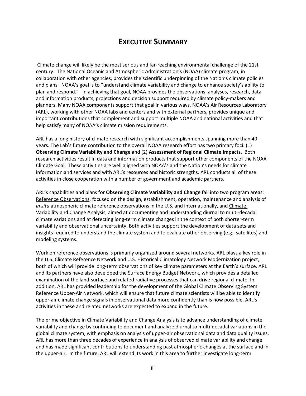# **EXECUTIVE SUMMARY**

<span id="page-3-0"></span>Climate change will likely be the most serious and far-reaching environmental challenge of the 21st century. The National Oceanic and Atmospheric Administration's (NOAA) climate program, in collaboration with other agencies, provides the scientific underpinning of the Nation's climate policies and plans. NOAA's goal is to "understand climate variability and change to enhance society's ability to plan and respond." In achieving that goal, NOAA provides the observations, analyses, research, data and information products, projections and decision support required by climate policy-makers and planners. Many NOAA components support that goal in various ways. NOAA's Air Resources Laboratory (ARL), working with other NOAA labs and centers and with external partners, provides unique and important contributions that complement and support multiple NOAA and national activities and that help satisfy many of NOAA's climate mission requirements.

ARL has a long history of climate research with significant accomplishments spanning more than 40 years. The Lab's future contribution to the overall NOAA research effort has two primary foci: (1) **Observing Climate Variability and Change** and (2) **Assessment of Regional Climate Impacts**. Both research activities result in data and information products that support other components of the NOAA Climate Goal. These activities are well aligned with NOAA's and the Nation's needs for climate information and services and with ARL's resources and historic strengths. ARL conducts all of these activities in close cooperation with a number of government and academic partners.

ARL's capabilities and plans for **Observing Climate Variability and Change** fall into two program areas: Reference Observations, focused on the design, establishment, operation, maintenance and analysis of *in situ* atmospheric climate reference observations in the U.S. and internationally, and Climate Variability and Change Analysis, aimed at documenting and understanding diurnal to multi-decadal climate variations and at detecting long-term climate changes in the context of both shorter-term variability and observational uncertainty. Both activities support the development of data sets and insights required to understand the climate system and to evaluate other observing (e.g., satellites) and modeling systems.

Work on reference observations is primarily organized around several networks. ARL plays a key role in the U.S. Climate Reference Network and U.S. Historical Climatology Network Modernization project, both of which will provide long-term observations of key climate parameters at the Earth's surface. ARL and its partners have also developed the Surface Energy Budget Network, which provides a detailed examination of the land-surface and related radiative processes that can drive regional climate. In addition, ARL has provided leadership for the development of the Global Climate Observing System Reference Upper-Air Network, which will ensure that future climate scientists will be able to identify upper-air climate change signals in observational data more confidently than is now possible. ARL's activities in these and related networks are expected to expand in the future.

The prime objective in Climate Variability and Change Analysis is to advance understanding of climate variability and change by continuing to document and analyze diurnal to multi-decadal variations in the global climate system, with emphasis on analysis of upper-air observational data and data quality issues. ARL has more than three decades of experience in analysis of observed climate variability and change and has made significant contributions to understanding past atmospheric changes at the surface and in the upper-air. In the future, ARL will extend its work in this area to further investigate long-term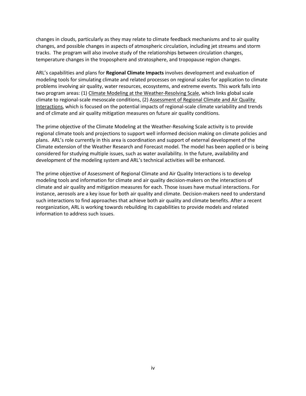changes in clouds, particularly as they may relate to climate feedback mechanisms and to air quality changes, and possible changes in aspects of atmospheric circulation, including jet streams and storm tracks. The program will also involve study of the relationships between circulation changes, temperature changes in the troposphere and stratosphere, and tropopause region changes.

ARL's capabilities and plans for **Regional Climate Impacts** involves development and evaluation of modeling tools for simulating climate and related processes on regional scales for application to climate problems involving air quality, water resources, ecosystems, and extreme events. This work falls into two program areas: (1) Climate Modeling at the Weather-Resolving Scale, which links global scale climate to regional-scale mesoscale conditions, (2) Assessment of Regional Climate and Air Quality Interactions, which is focused on the potential impacts of regional-scale climate variability and trends and of climate and air quality mitigation measures on future air quality conditions.

The prime objective of the Climate Modeling at the Weather-Resolving Scale activity is to provide regional climate tools and projections to support well informed decision making on climate policies and plans. ARL's role currently in this area is coordination and support of external development of the Climate extension of the Weather Research and Forecast model. The model has been applied or is being considered for studying multiple issues, such as water availability. In the future, availability and development of the modeling system and ARL's technical activities will be enhanced.

The prime objective of Assessment of Regional Climate and Air Quality Interactions is to develop modeling tools and information for climate and air quality decision-makers on the interactions of climate and air quality and mitigation measures for each. Those issues have mutual interactions. For instance, aerosols are a key issue for both air quality and climate. Decision-makers need to understand such interactions to find approaches that achieve both air quality and climate benefits. After a recent reorganization, ARL is working towards rebuilding its capabilities to provide models and related information to address such issues.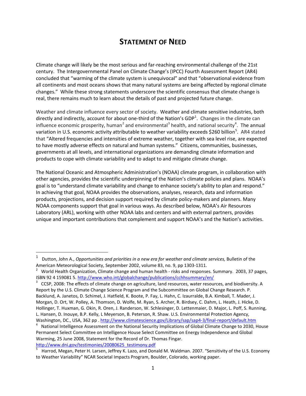# **STATEMENT OF NEED**

<span id="page-5-0"></span>Climate change will likely be the most serious and far-reaching environmental challenge of the 21st century. The Intergovernmental Panel on Climate Change's (IPCC) Fourth Assessment Report (AR4) concluded that "warming of the climate system is unequivocal" and that "observational evidence from all continents and most oceans shows that many natural systems are being affected by regional climate changes." While these strong statements underscore the scientific consensus that climate change is real, there remains much to learn about the details of past and projected future change.

Weather and climate influence every sector of society. Weather and climate sensitive industries, both directly and indirectly, account for about one-third of the Nation's GDP<sup>[1](#page-5-1)</sup>. Changes in the climate can influence economic prosperity, human<sup>[2](#page-5-2)</sup> and environmental<sup>[3](#page-5-3)</sup> health, and national security<sup>[4](#page-5-4)</sup>. The annual variation in U.S. economic activity attributable to weather variability exceeds \$260 billion<sup>[5](#page-5-5)</sup>. AR4 stated that "Altered frequencies and intensities of extreme weather, together with sea level rise, are expected to have mostly adverse effects on natural and human systems." Citizens, communities, businesses, governments at all levels, and international organizations are demanding climate information and products to cope with climate variability and to adapt to and mitigate climate change.

The National Oceanic and Atmospheric Administration's (NOAA) climate program, in collaboration with other agencies, provides the scientific underpinning of the Nation's climate policies and plans. NOAA's goal is to "understand climate variability and change to enhance society's ability to plan and respond." In achieving that goal, NOAA provides the observations, analyses, research, data and information products, projections, and decision support required by climate policy-makers and planners. Many NOAA components support that goal in various ways. As described below, NOAA's Air Resources Laboratory (ARL), working with other NOAA labs and centers and with external partners, provides unique and important contributions that complement and support NOAA's and the Nation's activities.

<span id="page-5-1"></span> <sup>1</sup> Dutton, John A., *Opportunities and priorities in a new era for weather and climate services,* Bulletin of the American Meteorological Society, September 2002, volume 83, no. 9, pp 1303-1311.

<span id="page-5-2"></span><sup>&</sup>lt;sup>2</sup> World Health Organization, Climate change and human health - risks and responses. Summary. 2003, 37 pages, ISBN 92 4 159081 5[. http://www.who.int/globalchange/publications/cchhsummary/en/](http://www.who.int/globalchange/publications/cchhsummary/en/)

<span id="page-5-3"></span> $3$  CCSP, 2008: The effects of climate change on agriculture, land resources, water resources, and biodiversity. A Report by the U.S. Climate Change Science Program and the Subcommittee on Global Change Research. P. Backlund, A. Janetos, D. Schimel, J. Hatfield, K. Boote, P. Fay, L. Hahn, C. Izaurralde, B.A. Kimball, T. Mader, J. Morgan, D. Ort, W. Polley, A. Thomson, D. Wolfe, M. Ryan, S. Archer, R. Birdsey, C. Dahm, L. Heath, J. Hicke, D. Hollinger, T. Huxman, G. Okin, R. Oren, J. Randerson, W. Schlesinger, D. Lettenmaier, D. Major, L. Poff, S. Running, L. Hansen, D. Inouye, B.P. Kelly, L Meyerson, B. Peterson, R. Shaw. U.S. Environmental Protection Agency, Washington, DC., USA, 362 pp .<http://www.climatescience.gov/Library/sap/sap4-3/final-report/default.htm>

<span id="page-5-4"></span><sup>&</sup>lt;sup>4</sup> National Intelligence Assessment on the National Security Implications of Global Climate Change to 2030, House Permanent Select Committee on Intelligence House Select Committee on Energy Independence and Global Warming, 25 June 2008, Statement for the Record of Dr. Thomas Fingar. [http://www.dni.gov/testimonies/20080625\\_testimony.pdf](http://www.dni.gov/testimonies/20080625_testimony.pdf)

<span id="page-5-5"></span>Harrod, Megan, Peter H. Larsen, Jeffrey K. Lazo, and Donald M. Waldman. 2007. "Sensitivity of the U.S. Economy to Weather Variability" NCAR Societal Impacts Program, Boulder, Colorado, working paper.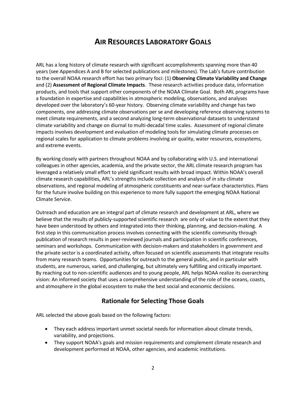# **AIR RESOURCES LABORATORY GOALS**

<span id="page-6-0"></span>ARL has a long history of climate research with significant accomplishments spanning more than 40 years (see Appendices A and B for selected publications and milestones). The Lab's future contribution to the overall NOAA research effort has two primary foci: (1) **Observing Climate Variability and Change** and (2) **Assessment of Regional Climate Impacts**. These research activities produce data, information products, and tools that support other components of the NOAA Climate Goal. Both ARL programs have a foundation in expertise and capabilities in atmospheric modeling, observations, and analyses developed over the laboratory's 60-year history. Observing climate variability and change has two components, one addressing climate observations per se and developing reference observing systems to meet climate requirements, and a second analyzing long-term observational datasets to understand climate variability and change on diurnal to multi-decadal time scales. Assessment of regional climate impacts involves development and evaluation of modeling tools for simulating climate processes on regional scales for application to climate problems involving air quality, water resources, ecosystems, and extreme events.

By working closely with partners throughout NOAA and by collaborating with U.S. and international colleagues in other agencies, academia, and the private sector, the ARL climate research program has leveraged a relatively small effort to yield significant results with broad impact. Within NOAA's overall climate research capabilities, ARL's strengths include collection and analysis of *in situ* climate observations, and regional modeling of atmospheric constituents and near-surface characteristics. Plans for the future involve building on this experience to more fully support the emerging NOAA National Climate Service.

Outreach and education are an integral part of climate research and development at ARL, where we believe that the results of publicly-supported scientific research are only of value to the extent that they have been understood by others and integrated into their thinking, planning, and decision-making. A first step in this communication process involves connecting with the scientific community through publication of research results in peer-reviewed journals and participation in scientific conferences, seminars and workshops. Communication with decision-makers and stakeholders in government and the private sector is a coordinated activity, often focused on scientific assessments that integrate results from many research teams. Opportunities for outreach to the general public, and in particular with students, are numerous, varied, and challenging, but ultimately very fulfilling and critically important. By reaching out to non-scientific audiences and to young people, ARL helps NOAA realize its overarching vision: An informed society that uses a comprehensive understanding of the role of the oceans, coasts, and atmosphere in the global ecosystem to make the best social and economic decisions.

### **Rationale for Selecting Those Goals**

<span id="page-6-1"></span>ARL selected the above goals based on the following factors:

- They each address important unmet societal needs for information about climate trends, variability, and projections.
- They support NOAA's goals and mission requirements and complement climate research and development performed at NOAA, other agencies, and academic institutions.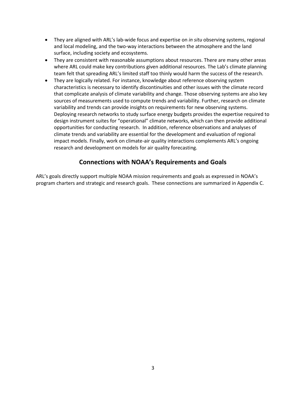- They are aligned with ARL's lab-wide focus and expertise on *in situ* observing systems, regional and local modeling, and the two-way interactions between the atmosphere and the land surface, including society and ecosystems.
- They are consistent with reasonable assumptions about resources. There are many other areas where ARL could make key contributions given additional resources. The Lab's climate planning team felt that spreading ARL's limited staff too thinly would harm the success of the research.
- They are logically related. For instance, knowledge about reference observing system characteristics is necessary to identify discontinuities and other issues with the climate record that complicate analysis of climate variability and change. Those observing systems are also key sources of measurements used to compute trends and variability. Further, research on climate variability and trends can provide insights on requirements for new observing systems. Deploying research networks to study surface energy budgets provides the expertise required to design instrument suites for "operational" climate networks, which can then provide additional opportunities for conducting research. In addition, reference observations and analyses of climate trends and variability are essential for the development and evaluation of regional impact models. Finally, work on climate-air quality interactions complements ARL's ongoing research and development on models for air quality forecasting.

### **Connections with NOAA's Requirements and Goals**

<span id="page-7-0"></span>ARL's goals directly support multiple NOAA mission requirements and goals as expressed in NOAA's program charters and strategic and research goals. These connections are summarized in Appendix C.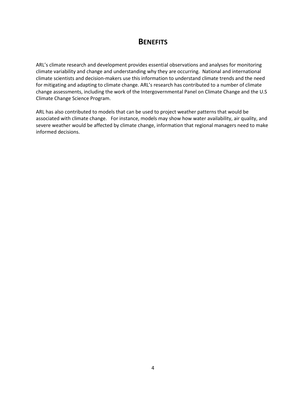# **BENEFITS**

<span id="page-8-0"></span>ARL's climate research and development provides essential observations and analyses for monitoring climate variability and change and understanding why they are occurring. National and international climate scientists and decision-makers use this information to understand climate trends and the need for mitigating and adapting to climate change. ARL's research has contributed to a number of climate change assessments, including the work of the Intergovernmental Panel on Climate Change and the U.S Climate Change Science Program.

ARL has also contributed to models that can be used to project weather patterns that would be associated with climate change. For instance, models may show how water availability, air quality, and severe weather would be affected by climate change, information that regional managers need to make informed decisions.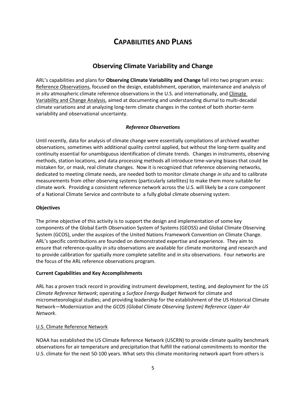# **CAPABILITIES AND PLANS**

### **Observing Climate Variability and Change**

<span id="page-9-1"></span><span id="page-9-0"></span>ARL's capabilities and plans for **Observing Climate Variability and Change** fall into two program areas: Reference Observations, focused on the design, establishment, operation, maintenance and analysis of *in situ* atmospheric climate reference observations in the U.S. and internationally, and Climate Variability and Change Analysis, aimed at documenting and understanding diurnal to multi-decadal climate variations and at analyzing long-term climate changes in the context of both shorter-term variability and observational uncertainty.

#### *Reference Observations*

<span id="page-9-2"></span>Until recently, data for analysis of climate change were essentially compilations of archived weather observations, sometimes with additional quality control applied, but without the long-term quality and continuity essential for unambiguous identification of climate trends. Changes in instruments, observing methods, station locations, and data processing methods all introduce time-varying biases that could be mistaken for, or mask, real climate changes. Now it is recognized that reference observing networks, dedicated to meeting climate needs, are needed both to monitor climate change *in situ* and to calibrate measurements from other observing systems (particularly satellites) to make them more suitable for climate work. Providing a consistent reference network across the U.S. will likely be a core component of a National Climate Service and contribute to a fully global climate observing system.

#### **Objectives**

The prime objective of this activity is to support the design and implementation of some key components of the Global Earth Observation System of Systems (GEOSS) and Global Climate Observing System (GCOS), under the auspices of the United Nations Framework Convention on Climate Change. ARL's specific contributions are founded on demonstrated expertise and experience. They aim to ensure that reference-quality *in situ* observations are available for climate monitoring and research and to provide calibration for spatially more complete satellite and *in situ* observations. Four networks are the focus of the ARL reference observations program.

#### **Current Capabilities and Key Accomplishments**

ARL has a proven track record in providing instrument development, testing, and deployment for the *US Climate Reference Network*; operating a *Surface Energy Budget Network* for climate and micrometeorological studies; and providing leadership for the establishment of the US Historical Climate Network—Modernization and the *GCOS (Global Climate Observing System) Reference Upper-Air Network*.

#### U.S. Climate Reference Network

NOAA has established the US Climate Reference Network (USCRN) to provide climate quality benchmark observations for air temperature and precipitation that fulfill the national commitments to monitor the U.S. climate for the next 50-100 years. What sets this climate monitoring network apart from others is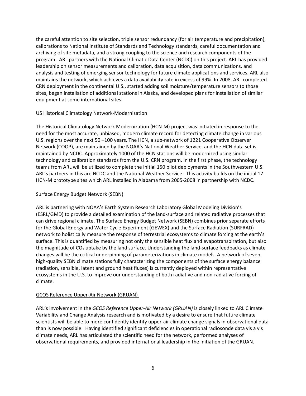the careful attention to site selection, triple sensor redundancy (for air temperature and precipitation), calibrations to National Institute of Standards and Technology standards, careful documentation and archiving of site metadata, and a strong coupling to the science and research components of the program. ARL partners with the National Climatic Data Center (NCDC) on this project. ARL has provided leadership on sensor measurements and calibration, data acquisition, data communications, and analysis and testing of emerging sensor technology for future climate applications and services. ARL also maintains the network, which achieves a data availability rate in excess of 99%. In 2008, ARL completed CRN deployment in the continental U.S., started adding soil moisture/temperature sensors to those sites, began installation of additional stations in Alaska, and developed plans for installation of similar equipment at some international sites.

#### US Historical Climatology Network-Modernization

The Historical Climatology Network Modernization (HCN-M) project was initiated in response to the need for the most accurate, unbiased, modern climate record for detecting climate change in various U.S. regions over the next 50 –100 years. The HCN, a sub-network of 1221 Cooperative Observer Network (COOP), are maintained by the NOAA's National Weather Service, and the HCN data set is maintained by NCDC. Approximately 1000 of the HCN stations will be modernized using similar technology and calibration standards from the U.S. CRN program. In the first phase, the technology teams from ARL will be utilized to complete the initial 150 pilot deployments in the Southwestern U.S. ARL's partners in this are NCDC and the National Weather Service. This activity builds on the initial 17 HCN-M prototype sites which ARL installed in Alabama from 2005-2008 in partnership with NCDC.

#### Surface Energy Budget Network (SEBN)

ARL is partnering with NOAA's Earth System Research Laboratory Global Modeling Division's (ESRL/GMD) to provide a detailed examination of the land-surface and related radiative processes that can drive regional climate. The Surface Energy Budget Network (SEBN) combines prior separate efforts for the Global Energy and Water Cycle Experiment (GEWEX) and the Surface Radiation (SURFRAD) network to holistically measure the response of terrestrial ecosystems to climate forcing at the earth's surface. This is quantified by measuring not only the sensible heat flux and evapotranspiration, but also the magnitude of  $CO<sub>2</sub>$  uptake by the land surface. Understanding the land-surface feedbacks as climate changes will be the critical underpinning of parameterizations in climate models. A network of seven high-quality SEBN climate stations fully characterizing the components of the surface energy balance (radiation, sensible, latent and ground heat fluxes) is currently deployed within representative ecosystems in the U.S. to improve our understanding of both radiative and non-radiative forcing of climate.

#### GCOS Reference Upper-Air Network (GRUAN)

ARL's involvement in the *GCOS Reference Upper-Air Network (GRUAN)* is closely linked to ARL Climate Variability and Change Analysis research and is motivated by a desire to ensure that future climate scientists will be able to more confidently identify upper-air climate change signals in observational data than is now possible. Having identified significant deficiencies in operational radiosonde data vis a vis climate needs, ARL has articulated the scientific need for the network, performed analyses of observational requirements, and provided international leadership in the initiation of the GRUAN.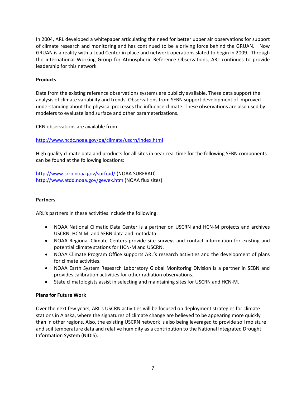In 2004, ARL developed a whitepaper articulating the need for better upper air observations for support of climate research and monitoring and has continued to be a driving force behind the GRUAN. Now GRUAN is a reality with a Lead Center in place and network operations slated to begin in 2009. Through the international Working Group for Atmospheric Reference Observations, ARL continues to provide leadership for this network.

#### **Products**

Data from the existing reference observations systems are publicly available. These data support the analysis of climate variability and trends. Observations from SEBN support development of improved understanding about the physical processes the influence climate. These observations are also used by modelers to evaluate land surface and other parameterizations.

CRN observations are available from

#### <http://www.ncdc.noaa.gov/oa/climate/uscrn/index.html>

High quality climate data and products for all sites in near-real time for the following SEBN components can be found at the following locations:

<http://www.srrb.noaa.gov/surfrad/> (NOAA SURFRAD) <http://www.atdd.noaa.gov/gewex.htm> (NOAA flux sites)

#### **Partners**

ARL's partners in these activities include the following:

- NOAA National Climatic Data Center is a partner on USCRN and HCN-M projects and archives USCRN, HCN-M, and SEBN data and metadata.
- NOAA Regional Climate Centers provide site surveys and contact information for existing and potential climate stations for HCN-M and USCRN.
- NOAA Climate Program Office supports ARL's research activities and the development of plans for climate activities.
- NOAA Earth System Research Laboratory Global Monitoring Division is a partner in SEBN and provides calibration activities for other radiation observations.
- State climatologists assist in selecting and maintaining sites for USCRN and HCN-M.

#### **Plans for Future Work**

Over the next few years, ARL's USCRN activities will be focused on deployment strategies for climate stations in Alaska, where the signatures of climate change are believed to be appearing more quickly than in other regions. Also, the existing USCRN network is also being leveraged to provide soil moisture and soil temperature data and relative humidity as a contribution to the National Integrated Drought Information System (NIDIS).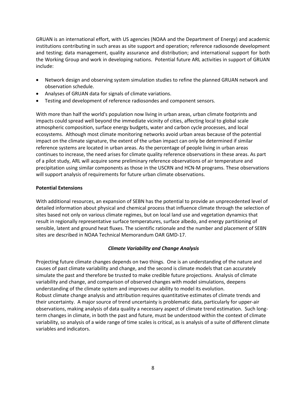GRUAN is an international effort, with US agencies (NOAA and the Department of Energy) and academic institutions contributing in such areas as site support and operation; reference radiosonde development and testing; data management, quality assurance and distribution; and international support for both the Working Group and work in developing nations. Potential future ARL activities in support of GRUAN include:

- Network design and observing system simulation studies to refine the planned GRUAN network and observation schedule.
- Analyses of GRUAN data for signals of climate variations.
- Testing and development of reference radiosondes and component sensors.

With more than half the world's population now living in urban areas, urban climate footprints and impacts could spread well beyond the immediate vicinity of cities, affecting local to global scale atmospheric composition, surface energy budgets, water and carbon cycle processes, and local ecosystems. Although most climate monitoring networks avoid urban areas because of the potential impact on the climate signature, the extent of the urban impact can only be determined if similar reference systems are located in urban areas. As the percentage of people living in urban areas continues to increase, the need arises for climate quality reference observations in these areas. As part of a pilot study, ARL will acquire some preliminary reference observations of air temperature and precipitation using similar components as those in the USCRN and HCN-M programs. These observations will support analysis of requirements for future urban climate observations.

#### **Potential Extensions**

With additional resources, an expansion of SEBN has the potential to provide an unprecedented level of detailed information about physical and chemical process that influence climate through the selection of sites based not only on various climate regimes, but on local land use and vegetation dynamics that result in regionally representative surface temperatures, surface albedo, and energy partitioning of sensible, latent and ground heat fluxes. The scientific rationale and the number and placement of SEBN sites are described in NOAA Technical Memorandum OAR GMD-17.

#### <span id="page-12-0"></span>*Climate Variability and Change Analysis*

Projecting future climate changes depends on two things. One is an understanding of the nature and causes of past climate variability and change, and the second is climate models that can accurately simulate the past and therefore be trusted to make credible future projections. Analysis of climate variability and change, and comparison of observed changes with model simulations, deepens understanding of the climate system and improves our ability to model its evolution. Robust climate change analysis and attribution requires quantitative estimates of climate trends and their uncertainty. A major source of trend uncertainty is problematic data, particularly for upper-air observations, making analysis of data quality a necessary aspect of climate trend estimation. Such longterm changes in climate, in both the past and future, must be understood within the context of climate variability, so analysis of a wide range of time scales is critical, as is analysis of a suite of different climate variables and indicators.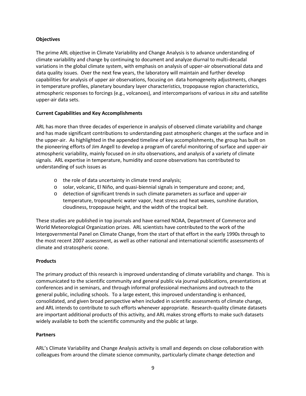#### **Objectives**

The prime ARL objective in Climate Variability and Change Analysis is to advance understanding of climate variability and change by continuing to document and analyze diurnal to multi-decadal variations in the global climate system, with emphasis on analysis of upper-air observational data and data quality issues. Over the next few years, the laboratory will maintain and further develop capabilities for analysis of upper air observations, focusing on data homogeneity adjustments, changes in temperature profiles, planetary boundary layer characteristics, tropopause region characteristics, atmospheric responses to forcings (e.g., volcanoes), and intercomparisons of various *in situ* and satellite upper-air data sets.

#### **Current Capabilities and Key Accomplishments**

ARL has more than three decades of experience in analysis of observed climate variability and change and has made significant contributions to understanding past atmospheric changes at the surface and in the upper-air. As highlighted in the appended timeline of key accomplishments, the group has built on the pioneering efforts of Jim Angell to develop a program of careful monitoring of surface and upper-air atmospheric variability, mainly focused on *in situ* observations, and analysis of a variety of climate signals. ARL expertise in temperature, humidity and ozone observations has contributed to understanding of such issues as

- o the role of data uncertainty in climate trend analysis;
- o solar, volcanic, El Niño, and quasi-biennial signals in temperature and ozone; and,
- o detection of significant trends in such climate parameters as surface and upper-air temperature, tropospheric water vapor, heat stress and heat waves, sunshine duration, cloudiness, tropopause height, and the width of the tropical belt.

These studies are published in top journals and have earned NOAA, Department of Commerce and World Meteorological Organization prizes. ARL scientists have contributed to the work of the Intergovernmental Panel on Climate Change, from the start of that effort in the early 1990s through to the most recent 2007 assessment, as well as other national and international scientific assessments of climate and stratospheric ozone.

#### **Products**

The primary product of this research is improved understanding of climate variability and change. This is communicated to the scientific community and general public via journal publications, presentations at conferences and in seminars, and through informal professional mechanisms and outreach to the general public, including schools. To a large extent, this improved understanding is enhanced, consolidated, and given broad perspective when included in scientific assessments of climate change, and ARL intends to contribute to such efforts whenever appropriate. Research-quality climate datasets are important additional products of this activity, and ARL makes strong efforts to make such datasets widely available to both the scientific community and the public at large.

#### **Partners**

ARL's Climate Variability and Change Analysis activity is small and depends on close collaboration with colleagues from around the climate science community, particularly climate change detection and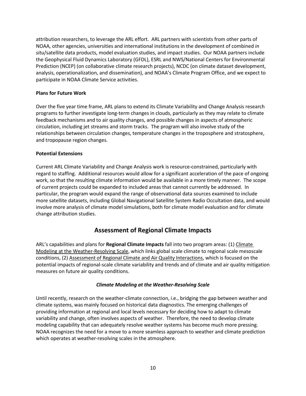attribution researchers, to leverage the ARL effort. ARL partners with scientists from other parts of NOAA, other agencies, universities and international institutions in the development of combined *in situ*/satellite data products, model evaluation studies, and impact studies. Our NOAA partners include the Geophysical Fluid Dynamics Laboratory (GFDL), ESRL and NWS/National Centers for Environmental Prediction (NCEP) (on collaborative climate research projects), NCDC (on climate dataset development, analysis, operationalization, and dissemination), and NOAA's Climate Program Office, and we expect to participate in NOAA Climate Service activities.

#### **Plans for Future Work**

Over the five year time frame, ARL plans to extend its Climate Variability and Change Analysis research programs to further investigate long-term changes in clouds, particularly as they may relate to climate feedback mechanisms and to air quality changes, and possible changes in aspects of atmospheric circulation, including jet streams and storm tracks. The program will also involve study of the relationships between circulation changes, temperature changes in the troposphere and stratosphere, and tropopause region changes.

#### **Potential Extensions**

Current ARL Climate Variability and Change Analysis work is resource-constrained, particularly with regard to staffing. Additional resources would allow for a significant acceleration of the pace of ongoing work, so that the resulting climate information would be available in a more timely manner. The scope of current projects could be expanded to included areas that cannot currently be addressed. In particular, the program would expand the range of observational data sources examined to include more satellite datasets, including Global Navigational Satellite System Radio Occultation data, and would involve more analysis of climate model simulations, both for climate model evaluation and for climate change attribution studies.

### **Assessment of Regional Climate Impacts**

<span id="page-14-0"></span>ARL's capabilities and plans for **Regional Climate Impacts** fall into two program areas: (1) Climate Modeling at the Weather-Resolving Scale, which links global scale climate to regional scale mesoscale conditions, (2) Assessment of Regional Climate and Air Quality Interactions, which is focused on the potential impacts of regional-scale climate variability and trends and of climate and air quality mitigation measures on future air quality conditions.

#### *Climate Modeling at the Weather-Resolving Scale*

<span id="page-14-1"></span>Until recently, research on the weather-climate connection, i.e., bridging the gap between weather and climate systems, was mainly focused on historical data diagnostics. The emerging challenges of providing information at regional and local levels necessary for deciding how to adapt to climate variability and change, often involves aspects of weather. Therefore, the need to develop climate modeling capability that can adequately resolve weather systems has become much more pressing. NOAA recognizes the need for a move to a more seamless approach to weather and climate prediction which operates at weather-resolving scales in the atmosphere.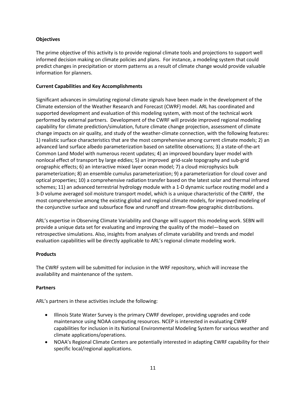#### **Objectives**

The prime objective of this activity is to provide regional climate tools and projections to support well informed decision making on climate policies and plans. For instance, a modeling system that could predict changes in precipitation or storm patterns as a result of climate change would provide valuable information for planners.

#### **Current Capabilities and Key Accomplishments**

Significant advances in simulating regional climate signals have been made in the development of the Climate extension of the Weather Research and Forecast (CWRF) model. ARL has coordinated and supported development and evaluation of this modeling system, with most of the technical work performed by external partners. Development of the CWRF will provide improved regional modeling capability for climate prediction/simulation, future climate change projection, assessment of climate change impacts on air quality, and study of the weather-climate connection, with the following features: 1) realistic surface characteristics that are the most comprehensive among current climate models; 2) an advanced land surface albedo parameterization based on satellite observations; 3) a state-of-the-art Common Land Model with numerous recent updates; 4) an improved boundary layer model with nonlocal effect of transport by large eddies; 5) an improved grid-scale topography and sub-grid orographic effects; 6) an interactive mixed layer ocean model; 7) a cloud microphysics bulk parameterization; 8) an ensemble cumulus parameterization; 9) a parameterization for cloud cover and optical properties; 10) a comprehensive radiation transfer based on the latest solar and thermal infrared schemes; 11) an advanced terrestrial hydrology module with a 1-D dynamic surface routing model and a 3-D volume averaged soil moisture transport model, which is a unique characteristic of the CWRF, the most comprehensive among the existing global and regional climate models, for improved modeling of the conjunctive surface and subsurface flow and runoff and stream-flow geographic distributions.

ARL's expertise in Observing Climate Variability and Change will support this modeling work. SEBN will provide a unique data set for evaluating and improving the quality of the model—based on retrospective simulations. Also, insights from analyses of climate variability and trends and model evaluation capabilities will be directly applicable to ARL's regional climate modeling work.

#### **Products**

The CWRF system will be submitted for inclusion in the WRF repository, which will increase the availability and maintenance of the system.

#### **Partners**

ARL's partners in these activities include the following:

- Illinois State Water Survey is the primary CWRF developer, providing upgrades and code maintenance using NOAA computing resources. NCEP is interested in evaluating CWRF capabilities for inclusion in its National Environmental Modeling System for various weather and climate applications/operations.
- NOAA's Regional Climate Centers are potentially interested in adapting CWRF capability for their specific local/regional applications.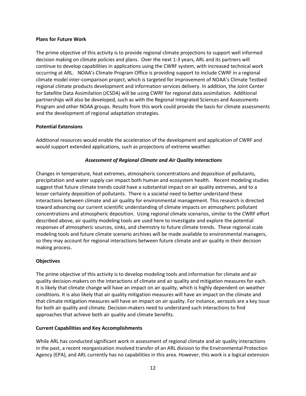#### **Plans for Future Work**

The prime objective of this activity is to provide regional climate projections to support well informed decision making on climate policies and plans. Over the next 1-3 years, ARL and its partners will continue to develop capabilities in applications using the CWRF system, with increased technical work occurring at ARL. NOAA's Climate Program Office is providing support to include CWRF in a regional climate model inter-comparison project, which is targeted for improvement of NOAA's Climate Testbed regional climate products development and information services delivery. In addition, the Joint Center for Satellite Data Assimilation (JCSDA) will be using CWRF for regional data assimilation. Additional partnerships will also be developed, such as with the Regional Integrated Sciences and Assessments Program and other NOAA groups. Results from this work could provide the basis for climate assessments and the development of regional adaptation strategies.

#### **Potential Extensions**

Additional resources would enable the acceleration of the development and application of CWRF and would support extended applications, such as projections of extreme weather.

#### <span id="page-16-0"></span>*Assessment of Regional Climate and Air Quality Interactions*

Changes in temperature, heat extremes, atmospheric concentrations and deposition of pollutants, precipitation and water supply can impact both human and ecosystem health. Recent modeling studies suggest that future climate trends could have a substantial impact on air quality extremes, and to a lesser certainty deposition of pollutants. There is a societal need to better understand these interactions between climate and air quality for environmental management. This research is directed toward advancing our current scientific understanding of climate impacts on atmospheric pollutant concentrations and atmospheric deposition. Using regional climate scenarios, similar to the CWRF effort described above, air quality modeling tools are used here to investigate and explore the potential responses of atmospheric sources, sinks, and chemistry to future climate trends. These regional scale modeling tools and future climate scenario archives will be made available to environmental managers, so they may account for regional interactions between future climate and air quality in their decision making process.

#### **Objectives**

The prime objective of this activity is to develop modeling tools and information for climate and air quality decision-makers on the interactions of climate and air quality and mitigation measures for each. It is likely that climate change will have an impact on air quality, which is highly dependent on weather conditions. It is also likely that air quality mitigation measures will have an impact on the climate and that climate mitigation measures will have an impact on air quality. For instance, aerosols are a key issue for both air quality and climate. Decision-makers need to understand such interactions to find approaches that achieve both air quality and climate benefits.

#### **Current Capabilities and Key Accomplishments**

While ARL has conducted significant work in assessment of regional climate and air quality interactions in the past, a recent reorganization involved transfer of an ARL division to the Environmental Protection Agency (EPA), and ARL currently has no capabilities in this area. However, this work is a logical extension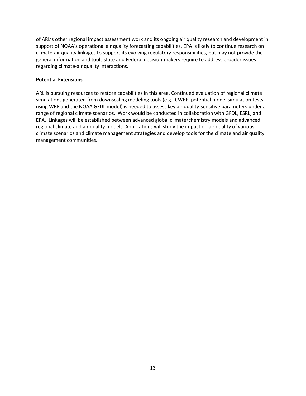of ARL's other regional impact assessment work and its ongoing air quality research and development in support of NOAA's operational air quality forecasting capabilities. EPA is likely to continue research on climate-air quality linkages to support its evolving regulatory responsibilities, but may not provide the general information and tools state and Federal decision-makers require to address broader issues regarding climate-air quality interactions.

#### **Potential Extensions**

ARL is pursuing resources to restore capabilities in this area. Continued evaluation of regional climate simulations generated from downscaling modeling tools (e.g., CWRF, potential model simulation tests using WRF and the NOAA GFDL model) is needed to assess key air quality-sensitive parameters under a range of regional climate scenarios. Work would be conducted in collaboration with GFDL, ESRL, and EPA. Linkages will be established between advanced global climate/chemistry models and advanced regional climate and air quality models. Applications will study the impact on air quality of various climate scenarios and climate management strategies and develop tools for the climate and air quality management communities.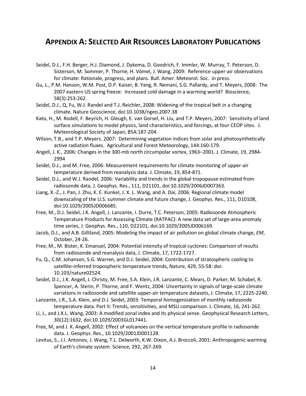## <span id="page-18-0"></span>**APPENDIX A: SELECTED AIR RESOURCES LABORATORY PUBLICATIONS**

- Seidel, D.J., F.H. Berger, H.J. Diamond, J. Dykema, D. Goodrich, F. Immler, W. Murray, T. Peterson, D. Sisterson, M. Sommer, P. Thorne, H. Vömel, J. Wang, 2009: Reference upper-air observations for climate: Rationale, progress, and plans. Bull. Amer. Meteorol. Soc. in press.
- Gu, L., P.M. Hanson, W.M. Post, D.P. Kaiser, B. Yang, R. Nemani, S.G. Pallardy, and T. Meyers, 2008: The 2007 eastern US spring freeze: Increased cold damage in a warming world? Bioscience, 58(3):253-262.
- Seidel, D.J., Q, Fu, W.J. Randel and T.J. Reichler, 2008: Widening of the tropical belt in a changing climate. Nature Geoscience, doi:10.1038/ngeo.2007.38
- Kato, H., M. Rodell, F. Beyrich, H. Gleugh, E. van Gorsel, H. Liu, and T.P. Meyers, 2007: Sensitivity of land surface simulations to model physics, land characteristics, and forcings, at four CEOP sites. J. Meteorological Society of Japan, 85A:187-204.
- Wilson, T.B., and T.P. Meyers. 2007: Determining vegetation indices from solar and photosynthetically active radiation fluxes. Agricultural and Forest Meteorology, 144:160-179.
- Angell, J. K., 2006: Changes in the 300-mb north circumpolar vortex, 1963–2001. J. Climate, 19, 2984- 2994
- Seidel, D.J., and M. Free, 2006: Measurement requirements for climate monitoring of upper-air temperature derived from reanalysis data. J. Climate, 19, 854-871.
- Seidel, D.J., and W.J. Randel, 2006: Variability and trends in the global tropopause estimated from radiosonde data, J. Geophys. Res., 111, D21101, doi:10.1029/2006JD007363.
- Liang, X.-Z., J. Pan, J. Zhu, K. E. Kunkel, J. X. L. Wang, and A. Dai, 2006: Regional climate model downscaling of the U.S. summer climate and future change, J. Geophys. Res., 111, D10108, doi:10.1029/2005JD006685.
- Free, M., D.J. Seidel, J.K. Angell, J. Lanzante, I. Durre, T.C. Peterson, 2005: Radiosonde Atmospheric Temperature Products for Assessing Climate (RATPAC): A new data set of large-area anomaly time series, J. Geophys. Res., 110, D22101, doi:10.1029/2005JD006169.
- Jacob, D.J., and A.B. Gilliland, 2005: Modeling the impact of air pollution on global climate change, *EM*, October, 24-26.
- Free, M., M. Bister, K. Emanuel, 2004: Potential intensity of tropical cyclones: Comparison of results from radiosonde and reanalysis data, J. Climate, 17, 1722-1727.
- Fu, Q., C.M. Johanson, S.G. Warren, and D.J. Seidel, 2004: Contribution of stratospheric cooling to satellite-inferred tropospheric temperature trends, Nature, 429, 55-58: doi: 10.103/nature02524.
- Seidel, D.J., J.K. Angell, J. Christy, M. Free, S.A. Klein, J.R. Lanzante, C. Mears, D. Parker, M. Schabel, R. Spencer, A. Sterin, P. Thorne, and F. Wentz, 2004: Uncertainty in signals of large-scale climate variations in radiosonde and satellite upper-air temperature datasets, J. Climate, 17, 2225-2240.
- Lanzante, J.R., S.A. Klein, and D.J. Seidel, 2003: Temporal homogenization of monthly radiosonde temperature data. Part II: Trends, sensitivities, and MSU comparison. J. Climate, 16, 241-262.
- Li, J., and J.X.L. Wang, 2003: A modified zonal index and its physical sense. Geophysical Research Letters, 30(12):1632, doi:10.1029/2003GL017441.
- Free, M, and J. K. Angell, 2002: Effect of volcanoes on the vertical temperature profile in radiosonde data. J. Geophys. Res., 10.1029/2001JD001128.
- Levitus, S., J.I. Antonov, J. Wang, T.L. Delworth, K.W. Dixon, A.J. Broccoli, 2001: Anthropogenic warming of Earth's climate system. Science, 292, 267-269.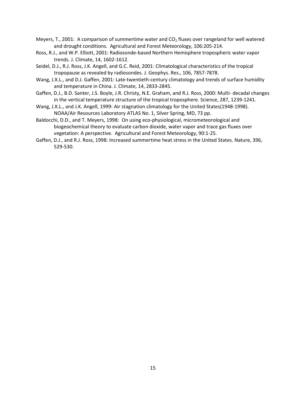- Meyers, T., 2001: A comparison of summertime water and  $CO<sub>2</sub>$  fluxes over rangeland for well watered and drought conditions. Agricultural and Forest Meteorology, 106:205-214.
- Ross, R.J., and W.P. Elliott, 2001: Radiosonde-based Northern Hemisphere tropospheric water vapor trends. J. Climate, 14, 1602-1612.
- Seidel, D.J., R.J. Ross, J.K. Angell, and G.C. Reid, 2001: Climatological characteristics of the tropical tropopause as revealed by radiosondes. J. Geophys. Res., 106, 7857-7878.
- Wang, J.X.L., and D.J. Gaffen, 2001: Late-twentieth-century climatology and trends of surface humidity and temperature in China. J. Climate, 14, 2833-2845.
- Gaffen, D.J., B.D. Santer, J.S. Boyle, J.R. Christy, N.E. Graham, and R.J. Ross, 2000: Multi- decadal changes in the vertical temperature structure of the tropical troposphere. Science, 287, 1239-1241.
- Wang, J.X.L., and J.K. Angell, 1999: Air stagnation climatology for the United States(1948-1998). NOAA/Air Resources Laboratory ATLAS No. 1, Silver Spring, MD, 73 pp.
- Baldocchi, D.D., and T. Meyers, 1998: On using eco-physiological, micrometeorological and biogeochemical theory to evaluate carbon dioxide, water vapor and trace gas fluxes over vegetation: A perspective. Agricultural and Forest Meteorology, 90:1-25.
- Gaffen, D.J., and R.J. Ross, 1998: Increased summertime heat stress in the United States. Nature, 396, 529-530.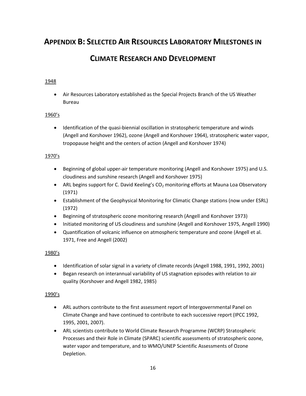# <span id="page-20-0"></span>**APPENDIX B: SELECTED AIR RESOURCES LABORATORY MILESTONES IN**

## **CLIMATE RESEARCH AND DEVELOPMENT**

#### 1948

• Air Resources Laboratory established as the Special Projects Branch of the US Weather Bureau

#### 1960's

• Identification of the quasi-biennial oscillation in stratospheric temperature and winds (Angell and Korshover 1962), ozone (Angell and Korshover 1964), stratospheric water vapor, tropopause height and the centers of action (Angell and Korshover 1974)

#### 1970's

- Beginning of global upper-air temperature monitoring (Angell and Korshover 1975) and U.S. cloudiness and sunshine research (Angell and Korshover 1975)
- ARL begins support for C. David Keeling's CO<sub>2</sub> monitoring efforts at Mauna Loa Observatory (1971)
- Establishment of the Geophysical Monitoring for Climatic Change stations (now under ESRL) (1972)
- Beginning of stratospheric ozone monitoring research (Angell and Korshover 1973)
- Initiated monitoring of US cloudiness and sunshine (Angell and Korshover 1975, Angell 1990)
- Quantification of volcanic influence on atmospheric temperature and ozone (Angell et al. 1971, Free and Angell (2002)

#### 1980's

- Identification of solar signal in a variety of climate records (Angell 1988, 1991, 1992, 2001)
- Began research on interannual variability of US stagnation episodes with relation to air quality (Korshover and Angell 1982, 1985)

#### 1990's

- ARL authors contribute to the first assessment report of Intergovernmental Panel on Climate Change and have continued to contribute to each successive report (IPCC 1992, 1995, 2001, 2007).
- ARL scientists contribute to World Climate Research Programme (WCRP) Stratospheric Processes and their Role in Climate (SPARC) scientific assessments of stratospheric ozone, water vapor and temperature, and to WMO/UNEP Scientific Assessments of Ozone Depletion.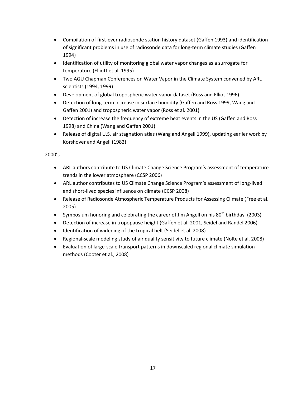- Compilation of first-ever radiosonde station history dataset (Gaffen 1993) and identification of significant problems in use of radiosonde data for long-term climate studies (Gaffen 1994)
- Identification of utility of monitoring global water vapor changes as a surrogate for temperature (Elliott et al. 1995)
- Two AGU Chapman Conferences on Water Vapor in the Climate System convened by ARL scientists (1994, 1999)
- Development of global tropospheric water vapor dataset (Ross and Elliot 1996)
- Detection of long-term increase in surface humidity (Gaffen and Ross 1999, Wang and Gaffen 2001) and tropospheric water vapor (Ross et al. 2001)
- Detection of increase the frequency of extreme heat events in the US (Gaffen and Ross 1998) and China (Wang and Gaffen 2001)
- Release of digital U.S. air stagnation atlas (Wang and Angell 1999), updating earlier work by Korshover and Angell (1982)

#### 2000's

- ARL authors contribute to US Climate Change Science Program's assessment of temperature trends in the lower atmosphere (CCSP 2006)
- ARL author contributes to US Climate Change Science Program's assessment of long-lived and short-lived species influence on climate (CCSP 2008)
- Release of Radiosonde Atmospheric Temperature Products for Assessing Climate (Free et al. 2005)
- Symposium honoring and celebrating the career of Jim Angell on his  $80^{th}$  birthday (2003)
- Detection of increase in tropopause height (Gaffen et al. 2001, Seidel and Randel 2006)
- Identification of widening of the tropical belt (Seidel et al. 2008)
- Regional-scale modeling study of air quality sensitivity to future climate (Nolte et al. 2008)
- Evaluation of large-scale transport patterns in downscaled regional climate simulation methods (Cooter et al., 2008)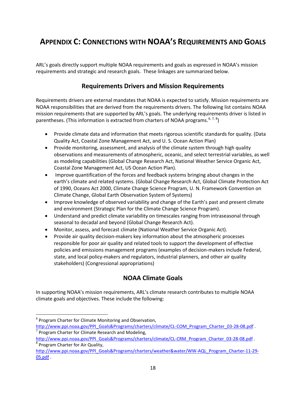# <span id="page-22-0"></span>**APPENDIX C: CONNECTIONS WITH NOAA'S REQUIREMENTS AND GOALS**

ARL's goals directly support multiple NOAA requirements and goals as expressed in NOAA's mission requirements and strategic and research goals. These linkages are summarized below.

### **Requirements Drivers and Mission Requirements**

<span id="page-22-1"></span>Requirements drivers are external mandates that NOAA is expected to satisfy. Mission requirements are NOAA responsibilities that are derived from the requirements drivers. The following list contains NOAA mission requirements that are supported by ARL's goals. The underlying requirements driver is listed in parentheses. (This information is extracted from charters of NOAA programs.  $6, 7, 8$  $6, 7, 8$  $6, 7, 8$  $6, 7, 8$  $6, 7, 8$ )

- Provide climate data and information that meets rigorous scientific standards for quality. (Data Quality Act, Coastal Zone Management Act, and U. S. Ocean Action Plan)
- Provide monitoring, assessment, and analysis of the climate system through high quality observations and measurements of atmospheric, oceanic, and select terrestrial variables, as well as modeling capabilities (Global Change Research Act, National Weather Service Organic Act, Coastal Zone Management Act, US Ocean Action Plan).
- Improve quantification of the forces and feedback systems bringing about changes in the earth's climate and related systems. (Global Change Research Act, Global Climate Protection Act of 1990, Oceans Act 2000, Climate Change Science Program, U. N. Framework Convention on Climate Change, Global Earth Observation System of Systems)
- Improve knowledge of observed variability and change of the Earth's past and present climate and environment (Strategic Plan for the Climate Change Science Program).
- Understand and predict climate variability on timescales ranging from intraseasonal through seasonal to decadal and beyond (Global Change Research Act).
- Monitor, assess, and forecast climate (National Weather Service Organic Act).
- Provide air quality decision-makers key information about the atmospheric processes responsible for poor air quality and related tools to support the development of effective policies and emissions management programs (examples of decision-makers include Federal, state, and local policy-makers and regulators, industrial planners, and other air quality stakeholders) (Congressional appropriations)

### **NOAA Climate Goals**

<span id="page-22-2"></span>In supporting NOAA's mission requirements, ARL's climate research contributes to multiple NOAA climate goals and objectives. These include the following:

<span id="page-22-3"></span> $6$  Program Charter for Climate Monitoring and Observation, [http://www.ppi.noaa.gov/PPI\\_Goals&Programs/charters/climate/CL-COM\\_Program\\_Charter\\_03-28-08.pdf](http://www.ppi.noaa.gov/PPI_Goals&Programs/charters/climate/CL-COM_Program_Charter_03-28-08.pdf) .  $\sigma$  Program Charter for Climate Research and Modeling,

<span id="page-22-4"></span>[http://www.ppi.noaa.gov/PPI\\_Goals&Programs/charters/climate/CL-CRM\\_Program\\_Charter\\_03-28-08.pdf](http://www.ppi.noaa.gov/PPI_Goals&Programs/charters/climate/CL-CRM_Program_Charter_03-28-08.pdf) . <sup>8</sup> Program Charter for Air Quality,

<span id="page-22-5"></span>[http://www.ppi.noaa.gov/PPI\\_Goals&Programs/charters/weather&water/WW-AQL\\_Program\\_Charter-11-29-](http://www.ppi.noaa.gov/PPI_Goals&Programs/charters/weather&water/WW-AQL_Program_Charter-11-29-05.pdf) [05.pdf](http://www.ppi.noaa.gov/PPI_Goals&Programs/charters/weather&water/WW-AQL_Program_Charter-11-29-05.pdf) .